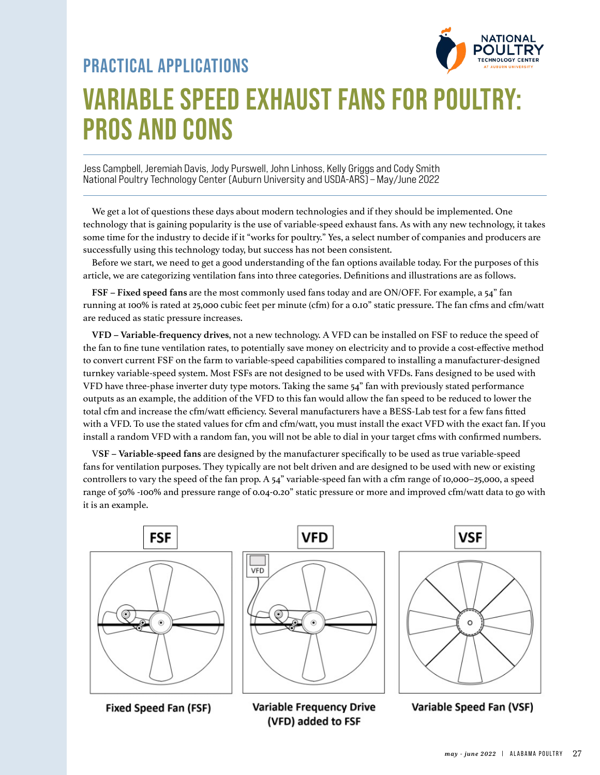

# **VARIABLE SPEED EXHAUST FANS FOR POULTRY: PROS AND CONS PRACTICAL APPLICATIONS**

Jess Campbell, Jeremiah Davis, Jody Purswell, John Linhoss, Kelly Griggs and Cody Smith National Poultry Technology Center (Auburn University and USDA-ARS) – May/June 2022

We get a lot of questions these days about modern technologies and if they should be implemented. One technology that is gaining popularity is the use of variable-speed exhaust fans. As with any new technology, it takes some time for the industry to decide if it "works for poultry." Yes, a select number of companies and producers are successfully using this technology today, but success has not been consistent.

Before we start, we need to get a good understanding of the fan options available today. For the purposes of this article, we are categorizing ventilation fans into three categories. Definitions and illustrations are as follows.

**FSF – Fixed speed fans** are the most commonly used fans today and are ON/OFF. For example, a 54" fan running at 100% is rated at 25,000 cubic feet per minute (cfm) for a 0.10" static pressure. The fan cfms and cfm/watt are reduced as static pressure increases.

**VFD – Variable-frequency drives**, not a new technology. A VFD can be installed on FSF to reduce the speed of the fan to fine tune ventilation rates, to potentially save money on electricity and to provide a cost-effective method to convert current FSF on the farm to variable-speed capabilities compared to installing a manufacturer-designed turnkey variable-speed system. Most FSFs are not designed to be used with VFDs. Fans designed to be used with VFD have three-phase inverter duty type motors. Taking the same 54" fan with previously stated performance outputs as an example, the addition of the VFD to this fan would allow the fan speed to be reduced to lower the total cfm and increase the cfm/watt efficiency. Several manufacturers have a BESS-Lab test for a few fans fitted with a VFD. To use the stated values for cfm and cfm/watt, you must install the exact VFD with the exact fan. If you install a random VFD with a random fan, you will not be able to dial in your target cfms with confirmed numbers.

V**SF – Variable-speed fans** are designed by the manufacturer specifically to be used as true variable-speed fans for ventilation purposes. They typically are not belt driven and are designed to be used with new or existing controllers to vary the speed of the fan prop. A 54" variable-speed fan with a cfm range of 10,000–25,000, a speed range of 50% -100% and pressure range of 0.04-0.20" static pressure or more and improved cfm/watt data to go with it is an example.



Fixed Speed Fan (FSF)

**Variable Frequency Drive** (VFD) added to FSF

Variable Speed Fan (VSF)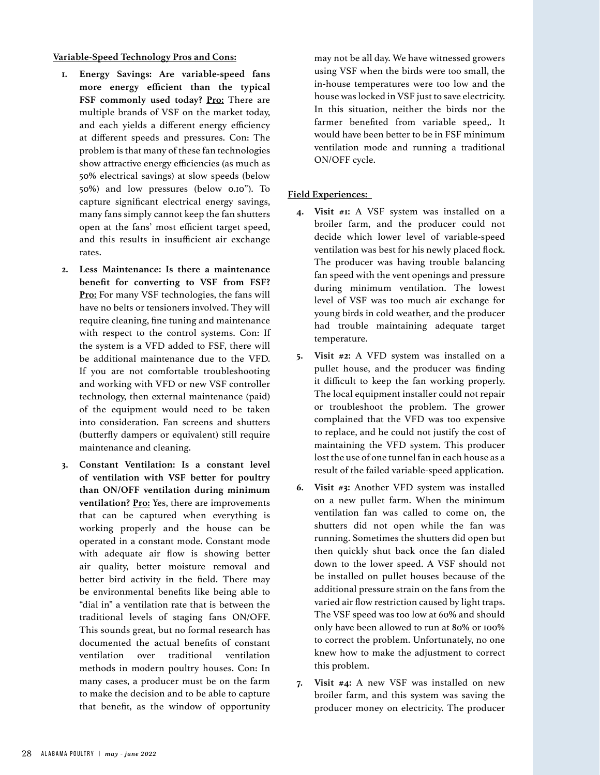## **Variable-Speed Technology Pros and Cons:**

- **1. Energy Savings: Are variable-speed fans more energy efficient than the typical**  FSF commonly used today? **Pro:** There are multiple brands of VSF on the market today, and each yields a different energy efficiency at different speeds and pressures. Con: The problem is that many of these fan technologies show attractive energy efficiencies (as much as 50% electrical savings) at slow speeds (below 50%) and low pressures (below 0.10"). To capture significant electrical energy savings, many fans simply cannot keep the fan shutters open at the fans' most efficient target speed, and this results in insufficient air exchange rates.
- **2. Less Maintenance: Is there a maintenance benefit for converting to VSF from FSF? Pro:** For many VSF technologies, the fans will have no belts or tensioners involved. They will require cleaning, fine tuning and maintenance with respect to the control systems. Con: If the system is a VFD added to FSF, there will be additional maintenance due to the VFD. If you are not comfortable troubleshooting and working with VFD or new VSF controller technology, then external maintenance (paid) of the equipment would need to be taken into consideration. Fan screens and shutters (butterfly dampers or equivalent) still require maintenance and cleaning.
- **3. Constant Ventilation: Is a constant level of ventilation with VSF better for poultry than ON/OFF ventilation during minimum**  ventilation? Pro: Yes, there are improvements that can be captured when everything is working properly and the house can be operated in a constant mode. Constant mode with adequate air flow is showing better air quality, better moisture removal and better bird activity in the field. There may be environmental benefits like being able to "dial in" a ventilation rate that is between the traditional levels of staging fans ON/OFF. This sounds great, but no formal research has documented the actual benefits of constant ventilation over traditional ventilation methods in modern poultry houses. Con: In many cases, a producer must be on the farm to make the decision and to be able to capture that benefit, as the window of opportunity

may not be all day. We have witnessed growers using VSF when the birds were too small, the in-house temperatures were too low and the house was locked in VSF just to save electricity. In this situation, neither the birds nor the farmer benefited from variable speed,. It would have been better to be in FSF minimum ventilation mode and running a traditional ON/OFF cycle.

# **Field Experiences:**

- **4. Visit #1:** A VSF system was installed on a broiler farm, and the producer could not decide which lower level of variable-speed ventilation was best for his newly placed flock. The producer was having trouble balancing fan speed with the vent openings and pressure during minimum ventilation. The lowest level of VSF was too much air exchange for young birds in cold weather, and the producer had trouble maintaining adequate target temperature.
- **5. Visit #2:** A VFD system was installed on a pullet house, and the producer was finding it difficult to keep the fan working properly. The local equipment installer could not repair or troubleshoot the problem. The grower complained that the VFD was too expensive to replace, and he could not justify the cost of maintaining the VFD system. This producer lost the use of one tunnel fan in each house as a result of the failed variable-speed application.
- **6. Visit #3:** Another VFD system was installed on a new pullet farm. When the minimum ventilation fan was called to come on, the shutters did not open while the fan was running. Sometimes the shutters did open but then quickly shut back once the fan dialed down to the lower speed. A VSF should not be installed on pullet houses because of the additional pressure strain on the fans from the varied air flow restriction caused by light traps. The VSF speed was too low at 60% and should only have been allowed to run at 80% or 100% to correct the problem. Unfortunately, no one knew how to make the adjustment to correct this problem.
- **7. Visit #4:** A new VSF was installed on new broiler farm, and this system was saving the producer money on electricity. The producer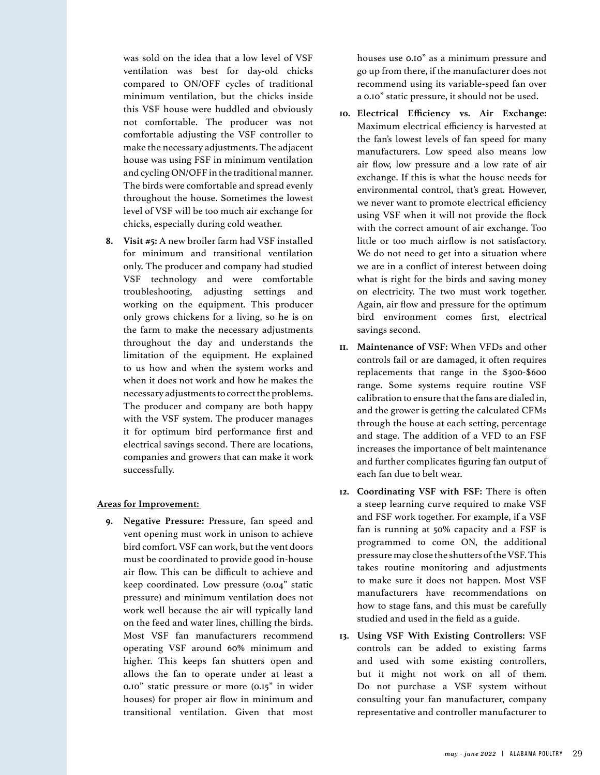was sold on the idea that a low level of VSF ventilation was best for day-old chicks compared to ON/OFF cycles of traditional minimum ventilation, but the chicks inside this VSF house were huddled and obviously not comfortable. The producer was not comfortable adjusting the VSF controller to make the necessary adjustments. The adjacent house was using FSF in minimum ventilation and cycling ON/OFF in the traditional manner. The birds were comfortable and spread evenly throughout the house. Sometimes the lowest level of VSF will be too much air exchange for chicks, especially during cold weather.

**8. Visit #5:** A new broiler farm had VSF installed for minimum and transitional ventilation only. The producer and company had studied VSF technology and were comfortable troubleshooting, adjusting settings and working on the equipment. This producer only grows chickens for a living, so he is on the farm to make the necessary adjustments throughout the day and understands the limitation of the equipment. He explained to us how and when the system works and when it does not work and how he makes the necessary adjustments to correct the problems. The producer and company are both happy with the VSF system. The producer manages it for optimum bird performance first and electrical savings second. There are locations, companies and growers that can make it work successfully.

### **Areas for Improvement:**

**9. Negative Pressure:** Pressure, fan speed and vent opening must work in unison to achieve bird comfort. VSF can work, but the vent doors must be coordinated to provide good in-house air flow. This can be difficult to achieve and keep coordinated. Low pressure (0.04" static pressure) and minimum ventilation does not work well because the air will typically land on the feed and water lines, chilling the birds. Most VSF fan manufacturers recommend operating VSF around 60% minimum and higher. This keeps fan shutters open and allows the fan to operate under at least a 0.10" static pressure or more (0.15" in wider houses) for proper air flow in minimum and transitional ventilation. Given that most

houses use 0.10" as a minimum pressure and go up from there, if the manufacturer does not recommend using its variable-speed fan over a 0.10" static pressure, it should not be used.

- **10. Electrical Efficiency vs. Air Exchange:**  Maximum electrical efficiency is harvested at the fan's lowest levels of fan speed for many manufacturers. Low speed also means low air flow, low pressure and a low rate of air exchange. If this is what the house needs for environmental control, that's great. However, we never want to promote electrical efficiency using VSF when it will not provide the flock with the correct amount of air exchange. Too little or too much airflow is not satisfactory. We do not need to get into a situation where we are in a conflict of interest between doing what is right for the birds and saving money on electricity. The two must work together. Again, air flow and pressure for the optimum bird environment comes first, electrical savings second.
- **11. Maintenance of VSF:** When VFDs and other controls fail or are damaged, it often requires replacements that range in the \$300-\$600 range. Some systems require routine VSF calibration to ensure that the fans are dialed in, and the grower is getting the calculated CFMs through the house at each setting, percentage and stage. The addition of a VFD to an FSF increases the importance of belt maintenance and further complicates figuring fan output of each fan due to belt wear.
- **12. Coordinating VSF with FSF:** There is often a steep learning curve required to make VSF and FSF work together. For example, if a VSF fan is running at 50% capacity and a FSF is programmed to come ON, the additional pressure may close the shutters of the VSF. This takes routine monitoring and adjustments to make sure it does not happen. Most VSF manufacturers have recommendations on how to stage fans, and this must be carefully studied and used in the field as a guide.
- **13. Using VSF With Existing Controllers:** VSF controls can be added to existing farms and used with some existing controllers, but it might not work on all of them. Do not purchase a VSF system without consulting your fan manufacturer, company representative and controller manufacturer to